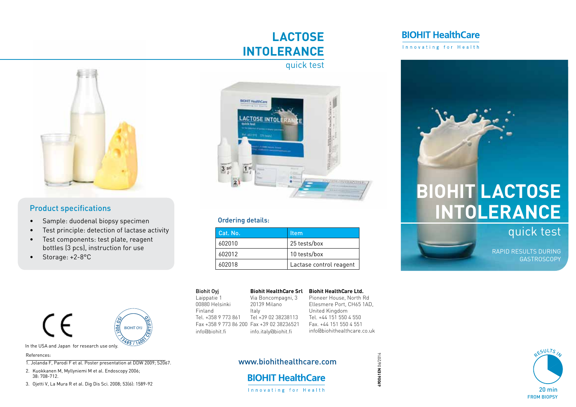## $\blacksquare$ **Lactose Intolerance** quick test



dropper. Drop 3 dropper. Drop 3 drop 3 drops onto the Sample well of the Sample well of the Sample well of the

### **Product specifications**

- • Sample: duodenal biopsy specimen
- T T T T • Test principle: detection of lactase activity
- Test components: test plate, reagent bottles (3 pcs), instruction for use
- Storage: +2-8°C



 $2.6$  et al. Hemoglobin-Haptoglobin-Haptoglobin-Haptoglobin-Haptoglobin-Haptoglobin-Haptoglobin-Haptoglobin-Haptoglobin-Haptoglobin-Haptoglobin-Haptoglobin-Haptoglobin-Haptoglobin-Haptoglobin-Haptoglobin-Haptoglobin-Hapto References:

Sensitive Assay for the Detection of Fecal Occupation of Fecal Occupation of Fecal Occupation of Fecal Occupation of  $\mathbb{R}$ 1. Jolanda F, Parodi F et al. Poster presentation at DDW 2009; S2067.

- 2. Kuokkanen M, Myllyniemi M et al. Endoscopy 2006;  $38: 708-712.$
- 3. Ojetti V, La Mura R et al. Dig Dis Sci. 2008; 53(6): 1589-92



### **Independent Sie bitte per Sie bitte per Sie bitte per Sie bitte per Sie bitte per Sie bitte per Sie bitte per**

| Cat. No. | ltem                    |
|----------|-------------------------|
| 602010   | 25 tests/box            |
| 602012   | 10 tests/box            |
| 602018   | Lactase control reagent |

|                   | <b>Biohit Oyi</b>                         |                      | Biohit HealthCare Srl Biohit HealthCare Ltd. |
|-------------------|-------------------------------------------|----------------------|----------------------------------------------|
|                   | Laippatie 1                               | Via Boncompagni, 3   | Pioneer House, North Rd                      |
|                   | 00880 Helsinki                            | 20139 Milano         | Ellesmere Port, CH65 1AD,                    |
|                   | Finland                                   | Italy                | United Kingdom                               |
|                   | Tel. +358 9 773 861                       | Tel +39 02 38238113  | Tel. +44 151 550 4 550                       |
|                   | Fax +358 9 773 86 200 Fax +39 02 38236521 |                      | Fax. +44 151 550 4 551                       |
| <b>BIOHIT OYJ</b> | info@biohit.fi                            | info.italy@biohit.fi | info@biohithealthcare.co.uk                  |
|                   |                                           |                      |                                              |

### 6 200 Fax +39 02 38236521 Fax. +44 151 550 4 551 **Biohit HealthCare Srl Biohit HealthCare Ltd.** Pioneer House, North Rd Ellesmere Port, CH65 1AD, United Kingdom Tel. +44 151 550 4 550

**490061EN** 06/2014

490061EN 06/2014

# www.biohithealthcare.com

# **BIOHIT HealthCare**

#### Innovating for Health

# **BIOHIT HealthCare**

Innovating for Health



# **BIOHIT Lactose Intolerance**

quick test

RAPID RESULTS DURING **GASTROSCOPY**